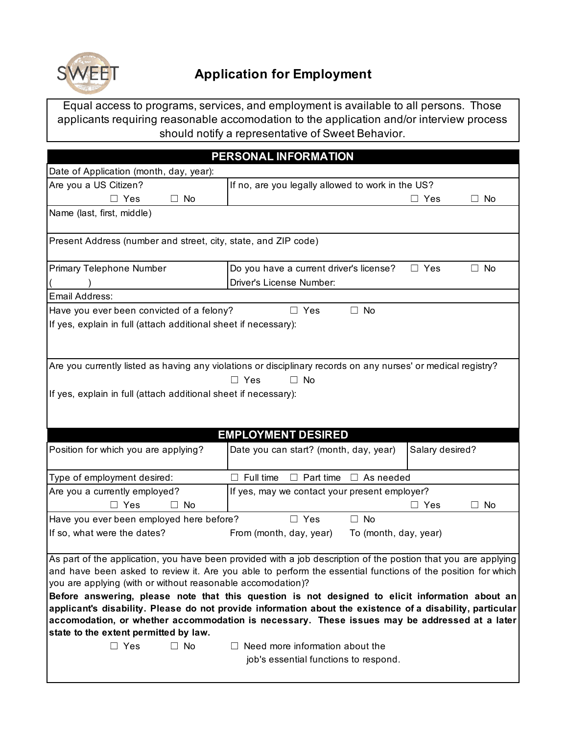

Equal access to programs, services, and employment is available to all persons. Those applicants requiring reasonable accomodation to the application and/or interview process should notify a representative of Sweet Behavior.

|                                                                 | PERSONAL INFORMATION                                                                                           |                         |
|-----------------------------------------------------------------|----------------------------------------------------------------------------------------------------------------|-------------------------|
| Date of Application (month, day, year):                         |                                                                                                                |                         |
| Are you a US Citizen?                                           | If no, are you legally allowed to work in the US?                                                              |                         |
| $\Box$ Yes<br>No<br>$\perp$                                     |                                                                                                                | $\Box$ Yes<br>No.       |
| Name (last, first, middle)                                      |                                                                                                                |                         |
|                                                                 |                                                                                                                |                         |
| Present Address (number and street, city, state, and ZIP code)  |                                                                                                                |                         |
| Primary Telephone Number                                        | Do you have a current driver's license?                                                                        | $\Box$ Yes<br>$\Box$ No |
|                                                                 | Driver's License Number:                                                                                       |                         |
| Email Address:                                                  |                                                                                                                |                         |
| Have you ever been convicted of a felony?                       | $\Box$ No<br>$\Box$ Yes                                                                                        |                         |
| If yes, explain in full (attach additional sheet if necessary): |                                                                                                                |                         |
|                                                                 |                                                                                                                |                         |
|                                                                 |                                                                                                                |                         |
|                                                                 | Are you currently listed as having any violations or disciplinary records on any nurses' or medical registry?  |                         |
|                                                                 | $\Box$ Yes<br>No<br>П.                                                                                         |                         |
| If yes, explain in full (attach additional sheet if necessary): |                                                                                                                |                         |
|                                                                 |                                                                                                                |                         |
|                                                                 |                                                                                                                |                         |
|                                                                 | <b>EMPLOYMENT DESIRED</b>                                                                                      |                         |
| Position for which you are applying?                            | Date you can start? (month, day, year)                                                                         | Salary desired?         |
| Type of employment desired:                                     | Part time<br>$\Box$ As needed<br>$\Box$ Full time<br>П.                                                        |                         |
| Are you a currently employed?                                   | If yes, may we contact your present employer?                                                                  |                         |
| $\Box$ Yes<br>No<br>$\mathsf{L}$                                |                                                                                                                | $\Box$ Yes<br>No        |
| Have you ever been employed here before?                        | $\Box$ No<br>$\Box$ Yes                                                                                        |                         |
| If so, what were the dates?                                     | From (month, day, year)<br>To (month, day, year)                                                               |                         |
|                                                                 |                                                                                                                |                         |
|                                                                 | As part of the application, you have been provided with a job description of the postion that you are applying |                         |
| you are applying (with or without reasonable accomodation)?     | and have been asked to review it. Are you able to perform the essential functions of the position for which    |                         |
|                                                                 | Before answering, please note that this question is not designed to elicit information about an                |                         |
|                                                                 | applicant's disability. Please do not provide information about the existence of a disability, particular      |                         |
|                                                                 | accomodation, or whether accommodation is necessary. These issues may be addressed at a later                  |                         |
| state to the extent permitted by law.                           |                                                                                                                |                         |
| $\Box$ Yes<br>$\Box$ No                                         | $\Box$ Need more information about the                                                                         |                         |
|                                                                 | job's essential functions to respond.                                                                          |                         |
|                                                                 |                                                                                                                |                         |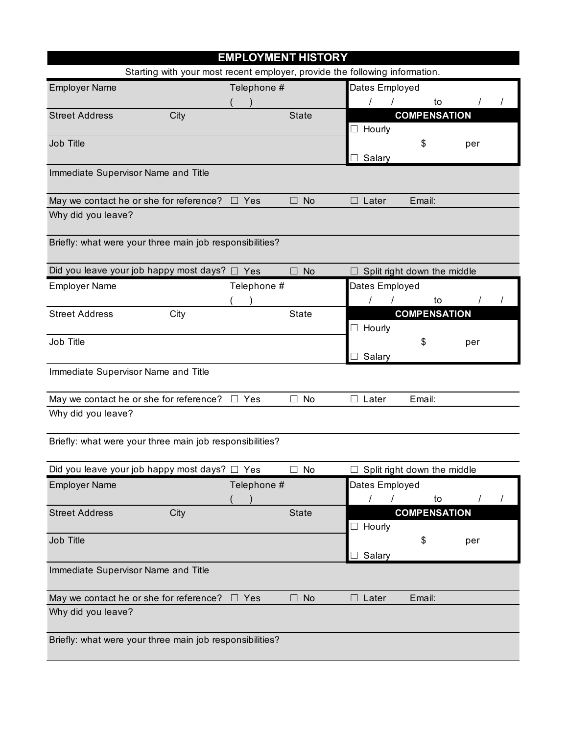| <b>EMPLOYMENT HISTORY</b>                                |                                                                             |             |                     |                |                             |     |  |
|----------------------------------------------------------|-----------------------------------------------------------------------------|-------------|---------------------|----------------|-----------------------------|-----|--|
|                                                          | Starting with your most recent employer, provide the following information. |             |                     |                |                             |     |  |
| <b>Employer Name</b>                                     |                                                                             | Telephone # |                     | Dates Employed |                             |     |  |
|                                                          |                                                                             |             |                     |                | to                          |     |  |
| <b>Street Address</b>                                    | City                                                                        |             | <b>State</b>        |                | <b>COMPENSATION</b>         |     |  |
|                                                          |                                                                             |             |                     | $\Box$ Hourly  |                             |     |  |
| Job Title                                                |                                                                             |             |                     |                | \$                          | per |  |
|                                                          |                                                                             |             |                     | Salary         |                             |     |  |
| Immediate Supervisor Name and Title                      |                                                                             |             |                     |                |                             |     |  |
| May we contact he or she for reference?                  |                                                                             | ∃ Yes       | <b>No</b><br>$\Box$ | Later          | Email:                      |     |  |
| Why did you leave?                                       |                                                                             |             |                     |                |                             |     |  |
| Briefly: what were your three main job responsibilities? |                                                                             |             |                     |                |                             |     |  |
| Did you leave your job happy most days? $\Box$ Yes       |                                                                             |             | $\Box$ No           |                | Split right down the middle |     |  |
| <b>Employer Name</b>                                     |                                                                             | Telephone # |                     | Dates Employed |                             |     |  |
|                                                          |                                                                             |             |                     |                | to                          |     |  |
| <b>Street Address</b>                                    | City                                                                        |             | <b>State</b>        |                | <b>COMPENSATION</b>         |     |  |
|                                                          |                                                                             |             |                     | $\Box$ Hourly  |                             |     |  |
| Job Title                                                |                                                                             |             |                     |                | \$                          | per |  |
|                                                          |                                                                             |             |                     | Salary         |                             |     |  |
| Immediate Supervisor Name and Title                      |                                                                             |             |                     |                |                             |     |  |
| May we contact he or she for reference?                  |                                                                             | $\Box$ Yes  | $\Box$ No           | $\Box$ Later   | Email:                      |     |  |
| Why did you leave?                                       |                                                                             |             |                     |                |                             |     |  |
| Briefly: what were your three main job responsibilities? |                                                                             |             |                     |                |                             |     |  |
| Did you leave your job happy most days?                  |                                                                             | Yes         | No                  |                | Split right down the middle |     |  |
| <b>Employer Name</b>                                     |                                                                             | Telephone # |                     | Dates Employed |                             |     |  |
|                                                          |                                                                             |             |                     | $\prime$       | to                          |     |  |
| <b>Street Address</b>                                    | City                                                                        |             | <b>State</b>        |                | <b>COMPENSATION</b>         |     |  |
|                                                          |                                                                             |             |                     | $\Box$ Hourly  |                             |     |  |
| Job Title                                                |                                                                             |             |                     | Salary         | \$                          | per |  |
| Immediate Supervisor Name and Title                      |                                                                             |             |                     |                |                             |     |  |
| May we contact he or she for reference? $\Box$ Yes       |                                                                             |             | <b>No</b><br>$\Box$ | $\Box$ Later   | Email:                      |     |  |
| Why did you leave?                                       |                                                                             |             |                     |                |                             |     |  |
| Briefly: what were your three main job responsibilities? |                                                                             |             |                     |                |                             |     |  |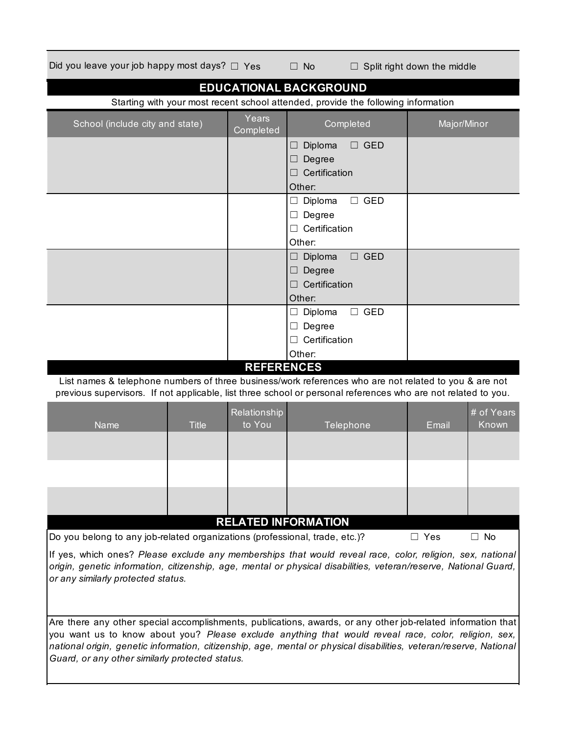Did you leave your job happy most days?  $□$  Yes  $□$  No  $□$  Split right down the middle

| <b>EDUCATIONAL BACKGROUND</b>                                                                             |              |                        |                                                                                                                                                                                                                        |             |                     |  |  |
|-----------------------------------------------------------------------------------------------------------|--------------|------------------------|------------------------------------------------------------------------------------------------------------------------------------------------------------------------------------------------------------------------|-------------|---------------------|--|--|
| Starting with your most recent school attended, provide the following information                         |              |                        |                                                                                                                                                                                                                        |             |                     |  |  |
| School (include city and state)                                                                           |              | Years<br>Completed     | Completed                                                                                                                                                                                                              | Major/Minor |                     |  |  |
|                                                                                                           |              |                        | Diploma<br>$\Box$ GED<br>ப                                                                                                                                                                                             |             |                     |  |  |
|                                                                                                           |              |                        | Degree                                                                                                                                                                                                                 |             |                     |  |  |
|                                                                                                           |              |                        | Certification                                                                                                                                                                                                          |             |                     |  |  |
|                                                                                                           |              |                        | Other:                                                                                                                                                                                                                 |             |                     |  |  |
|                                                                                                           |              |                        | $\Box$ GED<br>Diploma<br>ш                                                                                                                                                                                             |             |                     |  |  |
|                                                                                                           |              |                        | Degree<br>ш                                                                                                                                                                                                            |             |                     |  |  |
|                                                                                                           |              |                        | Certification                                                                                                                                                                                                          |             |                     |  |  |
|                                                                                                           |              |                        | Other:                                                                                                                                                                                                                 |             |                     |  |  |
|                                                                                                           |              |                        | $\Box$ GED<br>Diploma<br>ш                                                                                                                                                                                             |             |                     |  |  |
|                                                                                                           |              |                        | Degree<br>ш                                                                                                                                                                                                            |             |                     |  |  |
|                                                                                                           |              |                        | Certification                                                                                                                                                                                                          |             |                     |  |  |
|                                                                                                           |              |                        | Other:                                                                                                                                                                                                                 |             |                     |  |  |
|                                                                                                           |              |                        | $\Box$ GED<br>Diploma<br>⊔                                                                                                                                                                                             |             |                     |  |  |
|                                                                                                           |              |                        | Degree<br>⊔                                                                                                                                                                                                            |             |                     |  |  |
|                                                                                                           |              |                        | Certification                                                                                                                                                                                                          |             |                     |  |  |
|                                                                                                           |              |                        | Other:                                                                                                                                                                                                                 |             |                     |  |  |
| <b>REFERENCES</b>                                                                                         |              |                        |                                                                                                                                                                                                                        |             |                     |  |  |
|                                                                                                           |              |                        | List names & telephone numbers of three business/work references who are not related to you & are not<br>previous supervisors. If not applicable, list three school or personal references who are not related to you. |             |                     |  |  |
| <b>Name</b>                                                                                               | <b>Title</b> | Relationship<br>to You | Telephone                                                                                                                                                                                                              | Email       | # of Years<br>Known |  |  |
|                                                                                                           |              |                        |                                                                                                                                                                                                                        |             |                     |  |  |
|                                                                                                           |              |                        |                                                                                                                                                                                                                        |             |                     |  |  |
|                                                                                                           |              |                        |                                                                                                                                                                                                                        |             |                     |  |  |
|                                                                                                           |              |                        |                                                                                                                                                                                                                        |             |                     |  |  |
|                                                                                                           |              |                        |                                                                                                                                                                                                                        |             |                     |  |  |
|                                                                                                           |              |                        |                                                                                                                                                                                                                        |             |                     |  |  |
|                                                                                                           |              |                        | <b>RELATED INFORMATION</b>                                                                                                                                                                                             |             |                     |  |  |
| Do you belong to any job-related organizations (professional, trade, etc.)?                               |              |                        |                                                                                                                                                                                                                        | $\Box$ Yes  | $\Box$ No           |  |  |
| If yes, which ones? Please exclude any memberships that would reveal race, color, religion, sex, national |              |                        |                                                                                                                                                                                                                        |             |                     |  |  |
|                                                                                                           |              |                        | origin, genetic information, citizenship, age, mental or physical disabilities, veteran/reserve, National Guard,                                                                                                       |             |                     |  |  |

Are there any other special accomplishments, publications, awards, or any other job-related information that you want us to know about you? *Please exclude anything that would reveal race, color, religion, sex, national origin, genetic information, citizenship, age, mental or physical disabilities, veteran/reserve, National Guard, or any other similarly protected status.*

*or any similarly protected status.*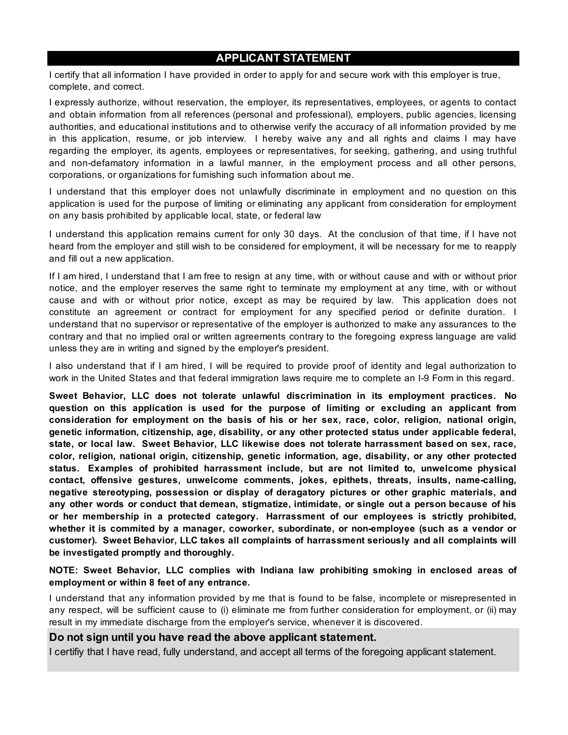## **APPLICANT STATEMENT**

I certify that all information I have provided in order to apply for and secure work with this employer is true, complete, and correct.

I expressly authorize, without reservation, the employer, its representatives, employees, or agents to contact and obtain information from all references (personal and professional), employers, public agencies, licensing authorities, and educational institutions and to otherwise verify the accuracy of all information provided by me in this application, resume, or job interview. I hereby waive any and all rights and claims I may have regarding the employer, its agents, employees or representatives, for seeking, gathering, and using truthful and non-defamatory information in a lawful manner, in the employment process and all other persons, corporations, or organizations for furnishing such information about me.

I understand that this employer does not unlawfully discriminate in employment and no question on this application is used for the purpose of limiting or eliminating any applicant from consideration for employment on any basis prohibited by applicable local, state, or federal law

I understand this application remains current for only 30 days. At the conclusion of that time, if I have not heard from the employer and still wish to be considered for employment, it will be necessary for me to reapply and fill out a new application.

If I am hired, I understand that I am free to resign at any time, with or without cause and with or without prior notice, and the employer reserves the same right to terminate my employment at any time, with or without cause and with or without prior notice, except as may be required by law. This application does not constitute an agreement or contract for employment for any specified period or definite duration. I understand that no supervisor or representative of the employer is authorized to make any assurances to the contrary and that no implied oral or written agreements contrary to the foregoing express language are valid unless they are in writing and signed by the employer's president.

I also understand that if I am hired, I will be required to provide proof of identity and legal authorization to work in the United States and that federal immigration laws require me to complete an I-9 Form in this regard.

**Sweet Behavior, LLC does not tolerate unlawful discrimination in its employment practices. No question on this application is used for the purpose of limiting or excluding an applicant from consideration for employment on the basis of his or her sex, race, color, religion, national origin, genetic information, citizenship, age, disability, or any other protected status under applicable federal, state, or local law. Sweet Behavior, LLC likewise does not tolerate harrassment based on sex, race, color, religion, national origin, citizenship, genetic information, age, disability, or any other protected status. Examples of prohibited harrassment include, but are not limited to, unwelcome physical contact, offensive gestures, unwelcome comments, jokes, epithets, threats, insults, name-calling, negative stereotyping, possession or display of deragatory pictures or other graphic materials, and any other words or conduct that demean, stigmatize, intimidate, or single out a person because of his or her membership in a protected category. Harrassment of our employees is strictly prohibited, whether it is commited by a manager, coworker, subordinate, or non-employee (such as a vendor or customer). Sweet Behavior, LLC takes all complaints of harrassment seriously and all complaints will be investigated promptly and thoroughly.**

**NOTE: Sweet Behavior, LLC complies with Indiana law prohibiting smoking in enclosed areas of employment or within 8 feet of any entrance.**

I understand that any information provided by me that is found to be false, incomplete or misrepresented in any respect, will be sufficient cause to (i) eliminate me from further consideration for employment, or (ii) may result in my immediate discharge from the employer's service, whenever it is discovered.

## **Do not sign until you have read the above applicant statement.**

I certifiy that I have read, fully understand, and accept all terms of the foregoing applicant statement.